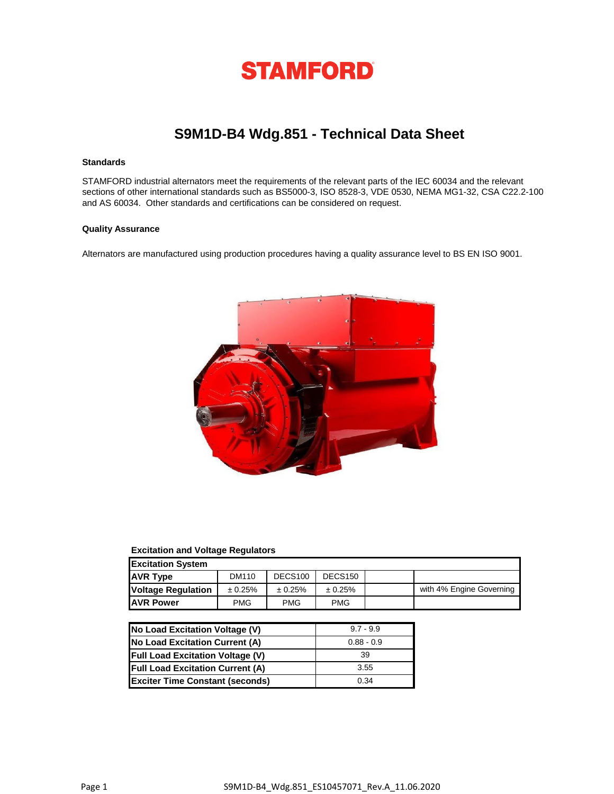

# **S9M1D-B4 Wdg.851 - Technical Data Sheet**

## **Standards**

STAMFORD industrial alternators meet the requirements of the relevant parts of the IEC 60034 and the relevant sections of other international standards such as BS5000-3, ISO 8528-3, VDE 0530, NEMA MG1-32, CSA C22.2-100 and AS 60034. Other standards and certifications can be considered on request.

### **Quality Assurance**

Alternators are manufactured using production procedures having a quality assurance level to BS EN ISO 9001.



## **Excitation and Voltage Regulators**

| <b>Excitation System</b>  |            |                     |                     |  |                          |  |
|---------------------------|------------|---------------------|---------------------|--|--------------------------|--|
| <b>AVR Type</b>           | DM110      | DECS <sub>100</sub> | DECS <sub>150</sub> |  |                          |  |
| <b>Voltage Regulation</b> | ± 0.25%    | ± 0.25%             | ± 0.25%             |  | with 4% Engine Governing |  |
| <b>JAVR Power</b>         | <b>PMG</b> | <b>PMG</b>          | <b>PMG</b>          |  |                          |  |

| No Load Excitation Voltage (V)          | $9.7 - 9.9$  |
|-----------------------------------------|--------------|
| No Load Excitation Current (A)          | $0.88 - 0.9$ |
| <b>Full Load Excitation Voltage (V)</b> | 39           |
| <b>Full Load Excitation Current (A)</b> | 3.55         |
| <b>Exciter Time Constant (seconds)</b>  | 0.34         |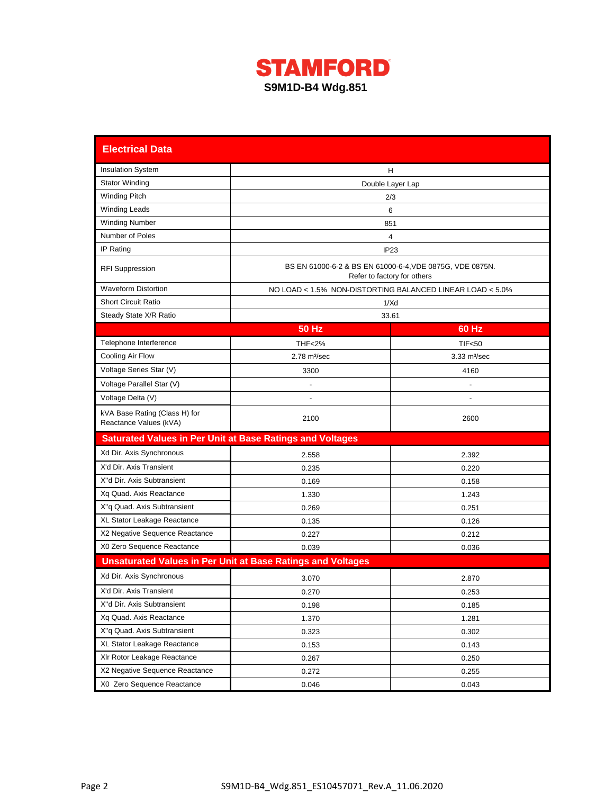

| <b>Electrical Data</b>                                           |                                                                    |                                                                                         |  |  |  |
|------------------------------------------------------------------|--------------------------------------------------------------------|-----------------------------------------------------------------------------------------|--|--|--|
| <b>Insulation System</b>                                         | н                                                                  |                                                                                         |  |  |  |
| <b>Stator Winding</b>                                            | Double Layer Lap                                                   |                                                                                         |  |  |  |
| <b>Winding Pitch</b>                                             |                                                                    | 2/3                                                                                     |  |  |  |
| <b>Winding Leads</b>                                             |                                                                    | 6                                                                                       |  |  |  |
| <b>Winding Number</b>                                            |                                                                    | 851                                                                                     |  |  |  |
| Number of Poles                                                  |                                                                    | 4                                                                                       |  |  |  |
| IP Rating                                                        |                                                                    | IP <sub>23</sub>                                                                        |  |  |  |
| <b>RFI Suppression</b>                                           |                                                                    | BS EN 61000-6-2 & BS EN 61000-6-4, VDE 0875G, VDE 0875N.<br>Refer to factory for others |  |  |  |
| <b>Waveform Distortion</b>                                       |                                                                    | NO LOAD < 1.5% NON-DISTORTING BALANCED LINEAR LOAD < 5.0%                               |  |  |  |
| <b>Short Circuit Ratio</b>                                       |                                                                    | 1/Xd                                                                                    |  |  |  |
| Steady State X/R Ratio                                           |                                                                    | 33.61                                                                                   |  |  |  |
|                                                                  | <b>50 Hz</b>                                                       | 60 Hz                                                                                   |  |  |  |
| Telephone Interference                                           | <b>THF&lt;2%</b>                                                   | <b>TIF&lt;50</b>                                                                        |  |  |  |
| Cooling Air Flow                                                 | $2.78 \text{ m}^3/\text{sec}$                                      | $3.33 \text{ m}^3/\text{sec}$                                                           |  |  |  |
| Voltage Series Star (V)                                          | 3300                                                               | 4160                                                                                    |  |  |  |
| Voltage Parallel Star (V)                                        |                                                                    |                                                                                         |  |  |  |
| Voltage Delta (V)                                                |                                                                    |                                                                                         |  |  |  |
| kVA Base Rating (Class H) for<br>Reactance Values (kVA)          | 2100                                                               | 2600                                                                                    |  |  |  |
| <b>Saturated Values in Per Unit at Base Ratings and Voltages</b> |                                                                    |                                                                                         |  |  |  |
| Xd Dir. Axis Synchronous                                         | 2.558                                                              | 2.392                                                                                   |  |  |  |
| X'd Dir. Axis Transient                                          | 0.235                                                              | 0.220                                                                                   |  |  |  |
| X"d Dir. Axis Subtransient                                       | 0.169                                                              | 0.158                                                                                   |  |  |  |
| Xq Quad. Axis Reactance                                          | 1.330                                                              | 1.243                                                                                   |  |  |  |
| X"q Quad. Axis Subtransient                                      | 0.269                                                              | 0.251                                                                                   |  |  |  |
| XL Stator Leakage Reactance                                      | 0.135                                                              | 0.126                                                                                   |  |  |  |
| X2 Negative Sequence Reactance                                   | 0.227                                                              | 0.212                                                                                   |  |  |  |
| X0 Zero Sequence Reactance                                       | 0.039                                                              | 0.036                                                                                   |  |  |  |
|                                                                  | <b>Unsaturated Values in Per Unit at Base Ratings and Voltages</b> |                                                                                         |  |  |  |
| Xd Dir. Axis Synchronous                                         | 3.070                                                              | 2.870                                                                                   |  |  |  |
| X'd Dir. Axis Transient                                          | 0.270                                                              | 0.253                                                                                   |  |  |  |
| X"d Dir. Axis Subtransient                                       | 0.198                                                              | 0.185                                                                                   |  |  |  |
| Xq Quad. Axis Reactance                                          | 1.370                                                              | 1.281                                                                                   |  |  |  |
| X"q Quad. Axis Subtransient                                      | 0.323                                                              | 0.302                                                                                   |  |  |  |
| XL Stator Leakage Reactance                                      | 0.153                                                              | 0.143                                                                                   |  |  |  |
| XIr Rotor Leakage Reactance                                      | 0.267                                                              | 0.250                                                                                   |  |  |  |
| X2 Negative Sequence Reactance                                   | 0.272                                                              | 0.255                                                                                   |  |  |  |
| X0 Zero Sequence Reactance                                       | 0.046                                                              | 0.043                                                                                   |  |  |  |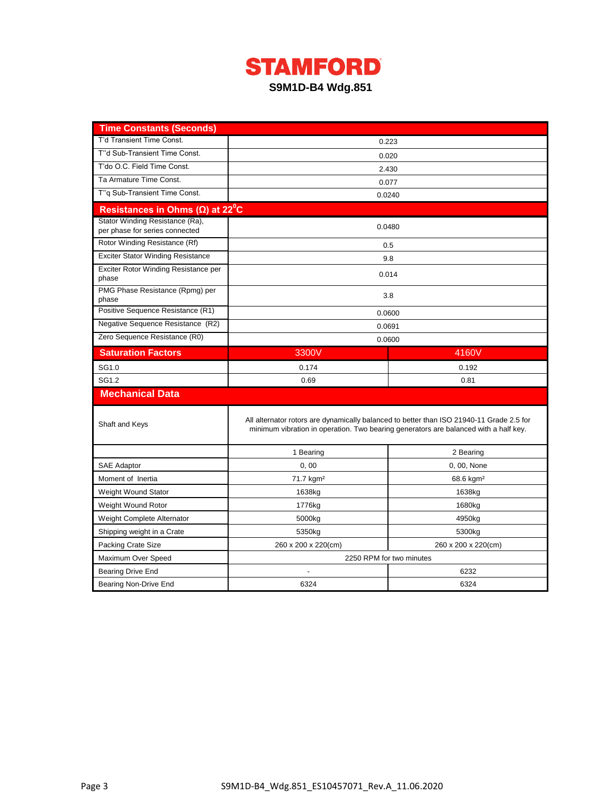

| <b>Time Constants (Seconds)</b>                                   |                          |                                                                                                                                                                                  |  |  |  |
|-------------------------------------------------------------------|--------------------------|----------------------------------------------------------------------------------------------------------------------------------------------------------------------------------|--|--|--|
| T'd Transient Time Const.                                         |                          | 0.223                                                                                                                                                                            |  |  |  |
| T"d Sub-Transient Time Const.                                     | 0.020                    |                                                                                                                                                                                  |  |  |  |
| T'do O.C. Field Time Const.                                       | 2.430                    |                                                                                                                                                                                  |  |  |  |
| Ta Armature Time Const.                                           |                          | 0.077                                                                                                                                                                            |  |  |  |
| T"g Sub-Transient Time Const.                                     | 0.0240                   |                                                                                                                                                                                  |  |  |  |
| Resistances in Ohms ( $\Omega$ ) at 22 <sup>°</sup> C             |                          |                                                                                                                                                                                  |  |  |  |
| Stator Winding Resistance (Ra),<br>per phase for series connected |                          | 0.0480                                                                                                                                                                           |  |  |  |
| Rotor Winding Resistance (Rf)                                     |                          | 0.5                                                                                                                                                                              |  |  |  |
| <b>Exciter Stator Winding Resistance</b>                          |                          | 9.8                                                                                                                                                                              |  |  |  |
| Exciter Rotor Winding Resistance per<br>phase                     |                          | 0.014                                                                                                                                                                            |  |  |  |
| PMG Phase Resistance (Rpmg) per<br>phase                          | 3.8                      |                                                                                                                                                                                  |  |  |  |
| Positive Sequence Resistance (R1)                                 |                          | 0.0600                                                                                                                                                                           |  |  |  |
| Negative Sequence Resistance (R2)                                 |                          | 0.0691                                                                                                                                                                           |  |  |  |
| Zero Sequence Resistance (R0)                                     |                          | 0.0600                                                                                                                                                                           |  |  |  |
| <b>Saturation Factors</b>                                         | 3300V                    | 4160V                                                                                                                                                                            |  |  |  |
| SG1.0                                                             | 0.174                    | 0.192                                                                                                                                                                            |  |  |  |
| SG1.2                                                             | 0.69                     | 0.81                                                                                                                                                                             |  |  |  |
| <b>Mechanical Data</b>                                            |                          |                                                                                                                                                                                  |  |  |  |
| Shaft and Keys                                                    |                          | All alternator rotors are dynamically balanced to better than ISO 21940-11 Grade 2.5 for<br>minimum vibration in operation. Two bearing generators are balanced with a half key. |  |  |  |
|                                                                   | 1 Bearing                | 2 Bearing                                                                                                                                                                        |  |  |  |
| <b>SAE Adaptor</b>                                                | 0, 00                    | 0, 00, None                                                                                                                                                                      |  |  |  |
| Moment of Inertia                                                 | 71.7 kgm <sup>2</sup>    | $68.6$ kgm <sup>2</sup>                                                                                                                                                          |  |  |  |
| Weight Wound Stator                                               | 1638kg                   | 1638kg                                                                                                                                                                           |  |  |  |
| Weight Wound Rotor                                                | 1776kg                   | 1680kg                                                                                                                                                                           |  |  |  |
| Weight Complete Alternator                                        | 5000kg                   | 4950kg                                                                                                                                                                           |  |  |  |
| Shipping weight in a Crate                                        | 5350kg                   | 5300kg                                                                                                                                                                           |  |  |  |
| Packing Crate Size                                                | 260 x 200 x 220(cm)      |                                                                                                                                                                                  |  |  |  |
| Maximum Over Speed                                                | 2250 RPM for two minutes |                                                                                                                                                                                  |  |  |  |
| Bearing Drive End                                                 | 6232                     |                                                                                                                                                                                  |  |  |  |
| Bearing Non-Drive End                                             | 6324                     | 6324                                                                                                                                                                             |  |  |  |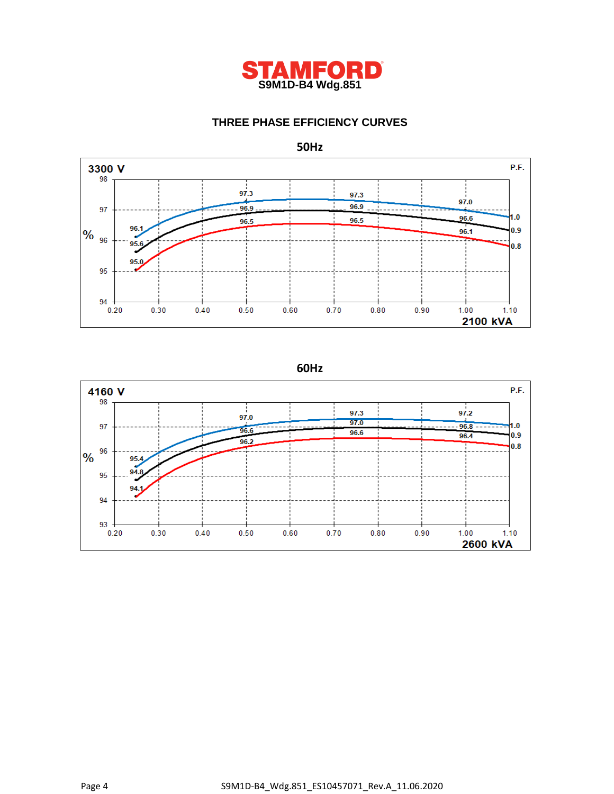

## **THREE PHASE EFFICIENCY CURVES**



## **50Hz**

**60Hz**

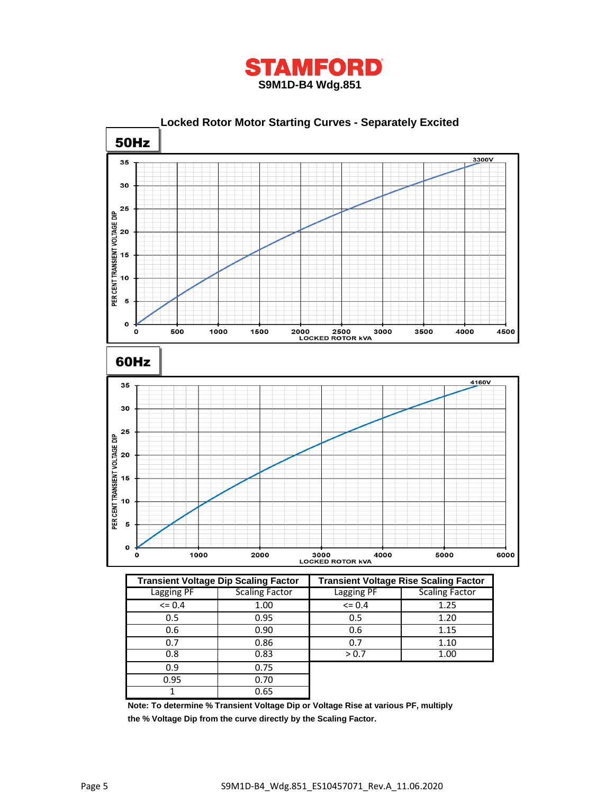



|             | <b>Transient Voltage Dip Scaling Factor</b> | <b>Transient Voltage Rise Scaling Factor</b> |                       |  |
|-------------|---------------------------------------------|----------------------------------------------|-----------------------|--|
| Lagging PF  | Scaling Factor                              | Lagging PF                                   | <b>Scaling Factor</b> |  |
| $\leq$ 0.4  | 1.00                                        | $= 0.4$                                      | 1.25                  |  |
| 0.5         | 0.95                                        | 0.5                                          | 1.20                  |  |
| 0.6         | 0.90                                        | 0.6                                          | 1.15                  |  |
| 0.7         | 0.86                                        | 0.7                                          | 1.10                  |  |
| 0.8<br>0.83 |                                             | > 0.7                                        | 1.00                  |  |
| 0.9         | 0.75                                        |                                              |                       |  |
| 0.95        | 0.70                                        |                                              |                       |  |
|             | 0.65                                        |                                              |                       |  |

**Note: To determine % Transient Voltage Dip or Voltage Rise at various PF, multiply the % Voltage Dip from the curve directly by the Scaling Factor.**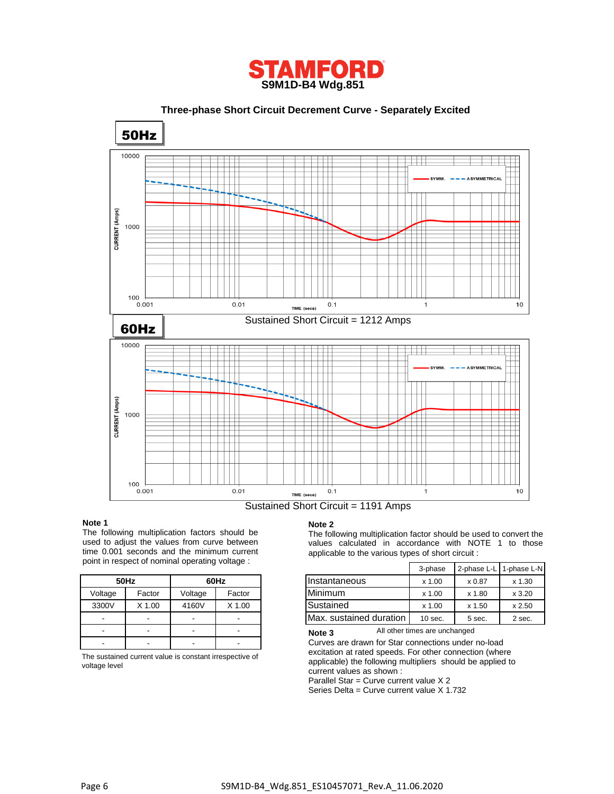

 **Three-phase Short Circuit Decrement Curve - Separately Excited** 50Hz 10000 CURRENT (Amps) 1000 100  $0.001$  $0.01$  $0.1$  $10$  $\mathbf{1}$ TIME (secs) Sustained Short Circuit = 1212 Amps 60Hz 10000 CURRENT (Amps) 1000  $100\,$  $0.001$  $0.01$  $0.1$  $\overline{1}$  $10$ TIME (secs)

### Sustained Short Circuit = 1191 Amps

#### **Note 1**

The following multiplication factors should be used to adjust the values from curve between time 0.001 seconds and the minimum current point in respect of nominal operating voltage :

|         | 50Hz   | 60Hz    |        |  |
|---------|--------|---------|--------|--|
| Voltage | Factor | Voltage | Factor |  |
| 3300V   | X 1.00 | 4160V   | X 1.00 |  |
|         |        |         |        |  |
|         |        |         |        |  |
|         |        |         |        |  |

The sustained current value is constant irrespective of voltage level

#### **Note 2**

The following multiplication factor should be used to convert the values calculated in accordance with NOTE 1 to those applicable to the various types of short circuit :

|         | $\frac{1}{10}$ in respect of Hoffinial operating voltage. |         |        |                         | 3-phase   | 2-phase L-L 1-phase L-N |          |
|---------|-----------------------------------------------------------|---------|--------|-------------------------|-----------|-------------------------|----------|
|         | 50Hz                                                      |         | 60Hz   | IInstantaneous          | x 1.00    | x 0.87                  | $x$ 1.30 |
| Voltage | Factor                                                    | Voltage | Factor | Minimum                 | x 1.00    | x 1.80                  | x3.20    |
| 3300V   | X 1.00                                                    | 4160V   | X 1.00 | Sustained               | x 1.00    | x 1.50                  | x 2.50   |
| -       | $\sim$                                                    |         |        | Max. sustained duration | $10$ sec. | 5 sec.                  | 2 sec.   |

All other times are unchanged **Note 3**

Curves are drawn for Star connections under no-load excitation at rated speeds. For other connection (where applicable) the following multipliers should be applied to current values as shown :

Parallel Star = Curve current value X 2

Series Delta = Curve current value X 1.732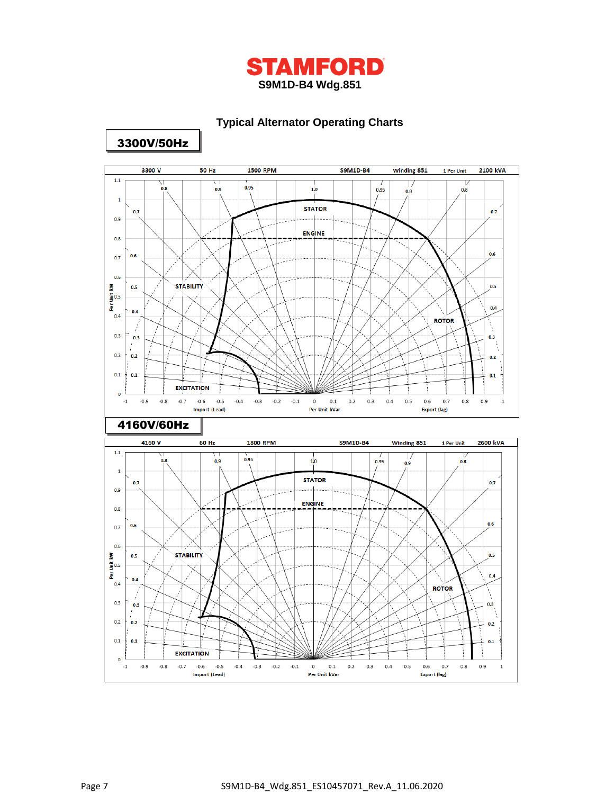

## **Typical Alternator Operating Charts**



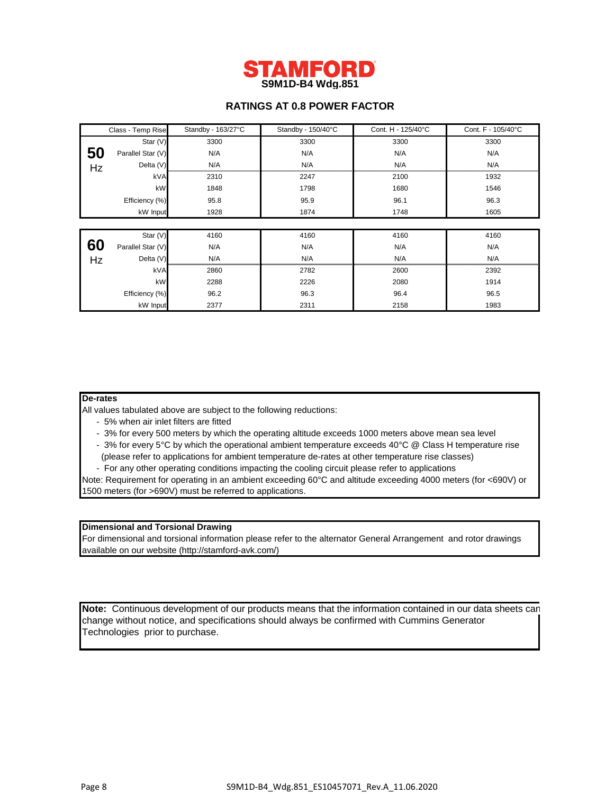

## **RATINGS AT 0.8 POWER FACTOR**

|    | Class - Temp Rise | Standby - 163/27°C | Standby - 150/40°C | Cont. H - 125/40°C | Cont. F - 105/40°C |
|----|-------------------|--------------------|--------------------|--------------------|--------------------|
|    | Star (V)          | 3300               | 3300               | 3300               | 3300               |
| 50 | Parallel Star (V) | N/A                | N/A                | N/A                | N/A                |
| Hz | Delta (V)         | N/A                | N/A                | N/A                | N/A                |
|    | kVA               | 2310               | 2247               | 2100               | 1932               |
|    | kW                | 1848               | 1798               | 1680               | 1546               |
|    | Efficiency (%)    | 95.8               | 95.9               | 96.1               | 96.3               |
|    | kW Input          | 1928               | 1874               | 1748               | 1605               |
|    |                   |                    |                    |                    |                    |
|    | Star (V)          | 4160               | 4160               | 4160               | 4160               |
| 60 | Parallel Star (V) | N/A                | N/A                | N/A                | N/A                |
| Hz | Delta (V)         | N/A                | N/A                | N/A                | N/A                |
|    | kVA               | 2860               | 2782               | 2600               | 2392               |
|    | kW                | 2288               | 2226               | 2080               | 1914               |
|    | Efficiency (%)    | 96.2               | 96.3               | 96.4               | 96.5               |
|    | kW Input          | 2377               | 2311               | 2158               | 1983               |

### **De-rates**

All values tabulated above are subject to the following reductions:

- 5% when air inlet filters are fitted
- 3% for every 500 meters by which the operating altitude exceeds 1000 meters above mean sea level
- 3% for every 5°C by which the operational ambient temperature exceeds 40°C @ Class H temperature rise (please refer to applications for ambient temperature de-rates at other temperature rise classes)
- For any other operating conditions impacting the cooling circuit please refer to applications

Note: Requirement for operating in an ambient exceeding 60°C and altitude exceeding 4000 meters (for <690V) or 1500 meters (for >690V) must be referred to applications.

## **Dimensional and Torsional Drawing**

For dimensional and torsional information please refer to the alternator General Arrangement and rotor drawings available on our website (http://stamford-avk.com/)

**Note:** Continuous development of our products means that the information contained in our data sheets can change without notice, and specifications should always be confirmed with Cummins Generator Technologies prior to purchase.